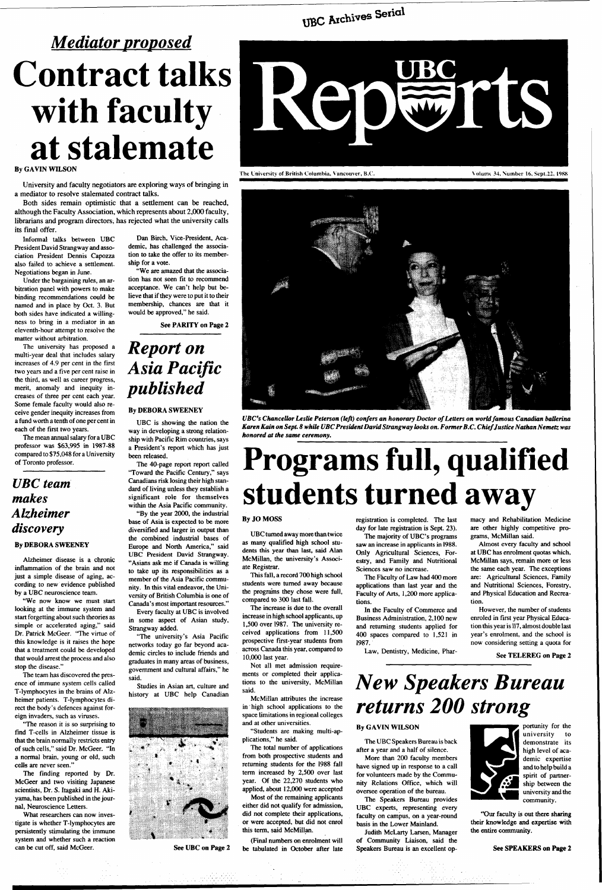# *XfcC* **Archives Serial**

# *Mediator proposed*  **Contract talks with faculty at stalemate**

### By GAVIN WILSON

University and faculty negotiators are exploring ways of bringing in a mediator to resolve stalemated contract talks.

Both sides remain optimistic that a settlement can be reached, although the Faculty Association, which represents about 2,000 faculty, librarians and program directors, has rejected what the university calls its final offer.

Informal talks between UBC President David Strangway and association President Dennis Capozza also failed to achieve a settlement. Negotiations began in June.

Under the bargaining rules, an arbitration panel with powers to make binding recommendations could be named and in place by Oct. 3. But both sides have indicated a willingness to bring in a mediator in an eleventh-hour attempt to resolve the matter without arbitration.

The university has proposed a multi-year deal that includes salary increases of 4.9 per cent in the first two years and a five per cent raise in the third, as well as career progress, merit, anomaly and inequity increases of three per cent each year. Some female faculty would also receive gender inequity increases from a fund worth a tenth of one per cent in each of the first two years.

The mean annual salary for a UBC professor was \$63,995 in 1987-88 compared to \$75,048 for a University of Toronto professor.

## *UBC team makes Alzheimer discovery*

### **By** DEBORA SWEENEY

Alzheimer disease is a chronic inflammation of the brain and not just a simple disease of aging, according to new evidence published by a UBC neuroscience team.

"We now know we must start looking at the immune system and start forgetting about such theories as simple or accelerated aging," said Dr. Patrick McGeer. "The virtue of this knowledge is it raises the hope that a treatment could be developed that would arrest the process and also stop the disease."



*UBC's Chancellor Leslie Peterson (left) confers an honorary Doctor of Letters on world famous Canadian ballerina Karen Kain on Sept. 8 while UBC President David Strangway looks on. Former B.C. Chief Justice Nathan Nemetz was honored at the same ceremony.* 

The team has discovered the presence of immune system cells called T-lymphocytes in the brains of Alzheimer patients. T-lymphocytes direct the body's defences against foreign invaders, such as viruses. "The reason it is so surprising to find T-cells in Alzheimer tissue is that the brain normally restricts entry of such cells," said Dr. McGeer. "In a normal brain, young or old, such cells are never seen." The finding reported by Dr. McGeer and two visiting Japanese scientists, Dr. S. Itagaki and H. Akiyama, has been published in the journal, Neuroscience Letters.

What researchers can now investigate is whether T-lymphocytes are persistently stimulating the immune system and whether such a reaction can be cut off, said McGeer.

Dan Birch, Vice-President, Academic, has challenged the association to take the offer to its membership for a vote.

"We are amazed that the association has not seen fit to recommend acceptance. We can't help but believe that if they were to put it to their membership, chances are that it would be approved," he said.

See PARITY on Page 2

## *Report on Asia Pacific published*

### By DEBORA SWEENEY

UBC is showing the nation the way in developing a strong relationship with Pacific Rim countries, says a President's report which has just been released.

The 40-page report report called "Toward the Pacific Century," says Canadians risk losing their high standard of living unless they establish a significant role for themselves within the Asia Pacific community.

"By the year 2000, the industrial base of Asia is expected to be more diversified and larger in output than the combined industrial bases of Europe and North America," said UBC President David Strangway. "Asians ask me if Canada is willing to take up its responsibilities as a member of the Asia Pacific community. In this vital endeavor, the University of British Columbia is one of Canada's most important resources."

Every faculty at UBC is involved in some aspect of Asian study, Strangway added.

"The university's Asia Pacific networks today go far beyond academic circles to include friends and graduates in many areas of business, government and cultural affairs," he said. Studies in Asian art, culture and history at UBC help Canadian





I'he University of British Columbia, Vancouver, B.C. V'olumt 34, Number 16, Sept.22, 1988

# **Programs full, qualified students turned away**

See UBC on Page 2

### By JO MOSS

UBC turned away more than twice as many qualified high school students this year than last, said Alan McMillan, the university's Associate Registrar.

This fall, a record 700 high school students were turned away because the programs they chose were full, compared to 300 last fall.

The increase is due to the overall increase in high school applicants, up 1,500 over 1987. The university received applications from 11,500 prospective first-year students from across Canada this year, compared to 10,000 last year.

Not all met admission requirements or completed their applications to the university, McMillan said.

McMillan attributes the increase in' high school applications to the space limitations in regional colleges and at other universities.

"Students are making multi-applications," he said.

The total number of applications from both prospective students and returning students for the 1988 fall term increased by 2,500 over last year. Of the 22,270 students who applied, about 12,000 were accepted

Most of the remaining applicants either did not qualify for admission, did not complete their applications, or were accepted, but did not enrol this term, said McMillan.

(Final numbers on enrolment will be tabulated in October after late registration is completed. The last day for late registration is Sept. 23).

The majority of UBC's programs saw an increase in applicants in 1988. Only Agricultural Sciences, Forestry, and Family and Nutritional Sciences saw no increase.

The Faculty of Law had 400 more applications than last year and the Faculty of Arts, 1,200 more applications.

In the Faculty of Commerce and Business Administration, 2,100 new and returning students applied for 400 spaces compared to 1,521 in 1987.

Law, Dentistry, Medicine, Phar-

macy and Rehabilitation Medicine are other highly competitive programs, McMillan said.

Almost every faculty and school at UBC has enrolment quotas which, McMillan says, remain more or less the same each year. The exceptions are: Agricultural Sciences, Family and Nutritional Sciences, Forestry, and Physical Education and Recreation.

However, the number of students enroled in first year Physical Education this year is 117, almost double last year's enrolment, and the school is now considering setting a quota for

See TELEREG on Page 2

## *New Speakers Bureau returns 200 strong*

### By GAVIN WILSON

The UBC Speakers Bureau is back after a year and a half of silence.

More than 200 faculty members have signed up in response to a call for volunteers made by the Community Relations Office, which will Oversee operation of the bureau.

The Speakers Bureau provides UBC experts, representing every faculty on campus, on a year-round basis in the Lower Mainland.

Judith McLarty Larsen, Manager of Community Liaison, said the Speakers Bureau is an excellent op-



portunity for the university to demonstrate its high level of academic expertise and to help build a spirit of partnership between the university and the community.

"Our faculty is out there sharing their knowledge and expertise with the entire community.

### See **SPEAKERS on Page 2**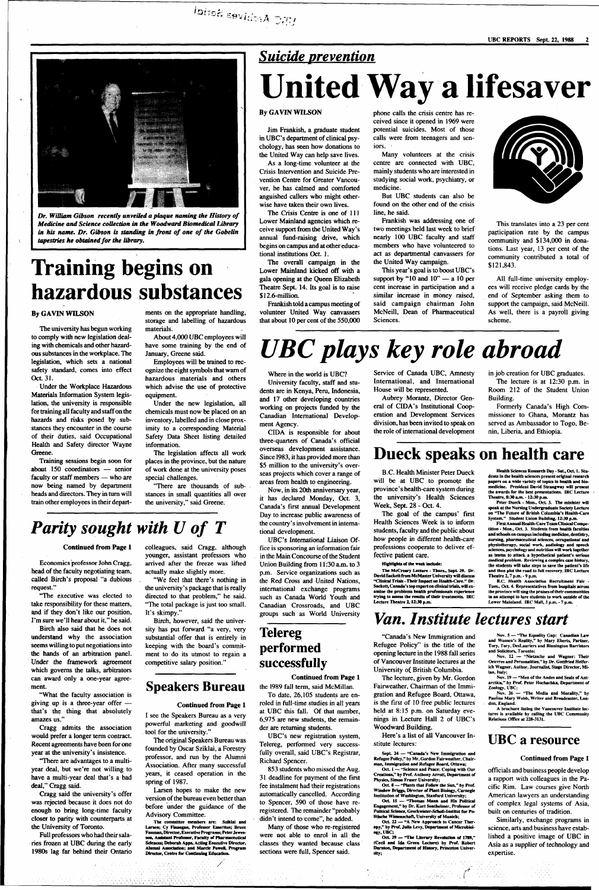

**Or.** *William Gibson recently unveiled a plague naming the History of Medicine and Science collection in the Woodward Biomedical Library in his name. Dr. Gibson is standing in front of one of the Gobelin tapestries he obtained for the library.* 

## *Suicide prevention*

# **Training begins on hazardous substances**

### **By GAVIN WILSON**

The university has begun working to comply with new legislation dealing with chemicals and other hazardous substances in the workplace. The legislation, which sets a national safety standard, comes into effect Oct. 31.

Under the Workplace Hazardous Materials Information System legislation, the university is responsible for training all faculty and staff on the hazards and risks posed by substances they encounter in the course of their duties, said Occupational Health and Safety director Wayne Greene.

Training sessions begin soon for about 150 coordinators — senior faculty or staff members — who are now being named by department heads and directors. They in turn will train other employees in their depart-

Birch also said that he does not understand why the association seems willing to put negotiations into the hands of an arbitration panel. Under the framework agreement which governs the talks, arbitrators rd only a one-year

ments on the appropriate handling, storage and labelling of hazardous materials.

"What the faculty association is giving up is a three-year offer that's the thing that absolutely amazes us.'

About 4,000 UBC employees will have some training by the end of January, Greene said.

Employees will be trained to recognize the eight symbols that warn of hazardous materials and others which advise the use of protective equipment.

Under the new legislation, all chemicals must now be placed on an inventory, labelled and in close proximity to a corresponding Material Safety Data Sheet listing detailed information.

"We feel that there's nothing in the university's package that is really directed to that problem," he said. "The total package is just too small. It's skimpy.'

The legislation affects all work places in the province, but the nature of work done at the university poses special challenges.

"There are thousands of substances in small quantities all over the university," said Greene;

## *Parity sought with U of T*

### **Continued from Page 1**

Economics professor John Cragg, head of the faculty negotiating team, called Birch's proposal "a dubious request."

"The executive was elected to take responsibility for these matters, and if they don't like our position, I'm sure we'll hear about it," he said.

ment.

Cragg admits the association would prefer a longer term contract. Recent agreements have been for one year at the university's insistence.

phone calls the crisis centre has received since it opened in 1969 were potential suicides. Most of those calls were from teenagers and seniors.

"There are advantages to a multiyear deal, but we're not willing to have a multi-year deal that's a bad deal," Cragg said.

Cragg said the university's offer was rejected because it does not do enough to bring long-time faculty closer to parity with counterparts at the University of Toronto.

Full professors who had their salaries frozen at UBC during the early 1980s lag far behind their Ontario

60 ASK CONTROL

colleagues, said Cragg, although younger, assistant professors who arrived after the freeze was lifted actually make slightly more.

Birch, however, said the university has put forward "a very, very substantial offer that is entirely in keeping with the board's commitment to do its utmost to regain a competitive salary position."

### **Speakers Bureau**

**Continued from Page 1** 

I see the Speakers Bureau as a very powerful marketing and goodwill tool for the university."

The original Speakers Bureau was founded by Oscar Sziklai, a Forestry professor, and run by the Alumni Association. After many successful years, it ceased operation in the spring of 1987.

853 students who missed the Aug. 31 deadline for payment of the first fee instalment had their registrations automatically cancelled. According to Spencer, 590 of those have reregistered. The remainder "probably didn't intend to come", he added.

Larsen hopes to make the new version of the bureau even better than before under the guidance of the Advisory Committee.

**The committee members are: Sziklai and Larsen; Cy Finnegan, Professor Emeritus; Bruce Fauman, Director, Executive Programs; Peter Jewesson, Assistant Professor, Faculty of Pharmaceutical Sciences; Deborah Apps, Acting Executive Director, Alumni Association; and Marde Powell, Program Director, Centre for Continuing Education.** 

**United Way a lifesaver** 

### **By GAVIN WILSON**

Jim Frankish, a graduate student in UBC's department of clinical psychology, has seen how donations to the United Way can help save lives.

As a long-time volunteer at the Crisis Intervention and Suicide Prevention Centre for Greater Vancouver, he has calmed and comforted anguished callers who might otherwise have taken their own lives.

> The McCreary Lecture - Thurs., Sept. 29. Dr.<br>David Sackett from McMaster University will discuss<br>"Clinical Trials - Their Impact on Health-Care." Dr.<br>Sackett, Canada's top expert on clinical trials, will ex-<br>amine the prob **Lecture Theatre 2,12:30 p.m.**

The Crisis Centre is one of 111 Lower Mainland agencies which receive support from the United Way's annual fund-raising drive, which begins on campus and at other educational institutions Oct. 1.

### Health Sciences Research Day - Sat., Oct. 1. Stu **dents in the health sciences present original research papers on a wide variety of topics in health and bio-medicine. President David Strangway will present the awards for the best presentations. IRC Lecture Theatre, 8:30 a.m. • 12:30 p.m.**

The overall campaign in the Lower Mainland kicked off with a gala opening at the Queen Elizabeth Theatre Sept. 14. Its goal is to raise \$12.6-million.

Frankish told a campus meeting of volunteer United Way canvassers that about 10 per cent of the 550,000

Many volunteers at the crisis centre are connected with UBC, mainly students who are interested in studying social work, psychiatry, or medicine.

But UBC students can also be found on the other end of the crisis line, he said.

Sept. 24 - "Canada's New Immigration and **Refugee Policy," by Mr. Gordon Fairweather, Chairman. Immigration and Refugee Board, Ottawa;** 

Frankish was addressing one of two meetings held last week to brief nearly 100 UBC faculty and staff members who have volunteered to act as departmental canvassers for the United Way campaign.

This year's goal is to boost UBC's support by "10 and 10" — a 10 per cent increase in participation and a similar increase in money raised, said campaign chairman John McNeill, Dean of Pharmaceutical Sciences.



This translates into a 23 per cent participation rate by the campus community and \$134,000 in donations. Last year, 13 per cent of the community contributed a total of \$121,843.

All full-time university employees will receive pledge cards by the end of September asking them to support the campaign, said McNeill. As well, there is a payroll giving scheme.

# *UBC plays key role abroad*

working on projects funded by the Canadian International Develop-

ment Agency.

CIDA is responsible for about three-quarters of Canada's official overseas development assistance. Since 1983, it has provided more than \$5 million to the university's overseas projects which cover a range of areas from health to engineering. Now, in its 20th anniversary year, it has declared Monday, Oct. 3, Canada's first annual Development Day to increase public awareness of the country's involvement in interna-

tional development.

UBC's International Liaison Office is sponsoring an information fair in the Main Concourse of the Student Union Building from 11:30 a.m. to 3 p.m. Service organizations such as the Red Cross and United Nations, international exchange programs such as Canada World Youth and Canadian Crossroads, and UBC groups such as World University

Where in the world is UBC? University faculty, staff and students are in Kenya, Peru, Indonesia, and 17 other developing countries Service of Canada UBC, Amnesty International, and International House will be represented.

## **Telereg performed successfully**

### **Continued from Page 1**

the 1989 fall term, said McMillan.

To date, 26,105 students are enroled in full-time studies in all years at UBC this fall. Of that number, 6,975 are new students, the remainder are returning students.

UBC's new registration system, Telereg, performed very successfully overall, said UBC's Registrar, Richard Spencer.

Many of those who re-registered were not able to enrol in all the classes they wanted because class sections were full, Spencer said.

Aubrey Morantz, Director General of CIDA's Institutional Cooperation and Development Services division, has been invited to speak on the role of international development in job creation for UBC graduates. The lecture is at 12:30 p.m. in Room 212 of the Student Union

Building. Formerly Canada's High Commissioner to Ghana, Morantz has served as Ambassador to Togo, Benin, Liberia, and Ethiopia.

## **Dueck speaks on health care**

B.C. Health Minister Peter Dueck will be at UBC to promote the province's health-care system during the university's Health Sciences Week, Sept. 28 - Oct. 4.

The goal of the campus' first Health Sciences Week is to inform students, faculty and the public about how people in different health-care professions cooperate to deliver effective patient care.

### **Highlights of the week Include:**

**Peter Dueck - Mon., Oct 3. The minister will speak at the Nursing Undergraduate Society Lecture on "The Future of British Columbia's Health-Care System." Student Union Building, 12:30 p.m. First Annual Health-Care Team Clinical Compe-**

**tition - Mon., Oct. 3. Students from health faculties and schools on campus including medicine, dentistry, nursing, pharmaceutical sciences, occupational and**  physiotherapy, social work, audiology and speech<br>sciences, psychology and nutrition will work together<br>as teams to attack a hypothetical patient's serious<br>medical problem. Reviewing a complex case history. **the students will take steps to save the patient's life and then plot the road to full recovery. IRC Lecture Theatre 2,7 p.m. - 9 p.m.** 

**B.C. Health Association Recruitment Fair - Tues., Oct. 4. Representatives from hospitals across the province will sing the praises of their communities**  in an attempt to lure students to work outside of the **Lower Mainland. IRC Mall, 3 p.m. - 7 p.m.** 

## *Van. Institute lectures start*

"Canada's New Immigration and Refugee Policy" is the title of the opening lecture in the 1988 fall series of Vancouver Institute lectures at the University of British Columbia.

The lecture, given by Mr. Gord

Fairweather, Chairman of the Immigration and Refugee Board, Ottawa, is the first of 10 free public lectures held at 8:15 p.m. on Saturday evenings in Lecture Hall 2 of UBC's Woodward Building.

Here's a list of all Vancouver Institute lectures:

**Oct 1 — "Science and Peace: Coping with Our Creations," by-Prof. Anthony Arrott Department of Physics, Simon Fraser University;** 

**Oct 8 — "Plants that Follow the Sun," by Prof. Winslow Briggs, Director of Plant Biology, Carnegie Institution of Washington, Stanford University;** 

**Oct IS — "Thomas Mann and His Political Engagement," by Dr. Kurt Sontneimer, Professor of Political Science, Geschwister-Scholl-Institut fur Politische Wissenschaft, University of Munich;** 

**Oct 22 — "A New Approach to Cancer Ther-apy," by Prof. Julia Levy, Department of Microbiology, UBC;** 

**Oct 29 — "The Literary Revolution of 1789," (Cecil and Ida Green Lecture) by Prof. Robert Darnton, Department of History, Princeton University;** 

**Nov. 5 — "The Equality Gap: Canadian Law and Women's Reality," by Mary Eberts, Partner, Tory, Tory, DesLauriers and Binnington Barristers and Solicitors, Toronto;** 

**Nov. 12 — "Nietzsche and Wagner: Their Oeuvres and Personalities," by Dr. Gottfried Helferich Wagner, Author, Journalist, Stage Director, Milan, Italy;** 

**Nov. 19 — "Men of the Andes and Seals of Ant-**

**arctica," by Prof. Peter Hochachka, Department of** 

**Zoology, UBC; Nov. 26 — "The Media and Morality," by Pauline Mary Webb, Writer and Broadcaster, London, England.** 

**A brochure listing the Vancouver Institute lee-tures is available by calling the UBC Community Relations Office at 228-3131.** 

### **UBC a resource**

### **Continued from Page** 1

officials and business people develop a rapport with colleagues in the Pacific Rim. Law courses give North American lawyers an understanding of complex legal systems of Asia, built on centuries of tradition.

Similarly, exchange programs in science, arts and business have established a positive image of UBC in Asia as a supplier of technology and expertise.